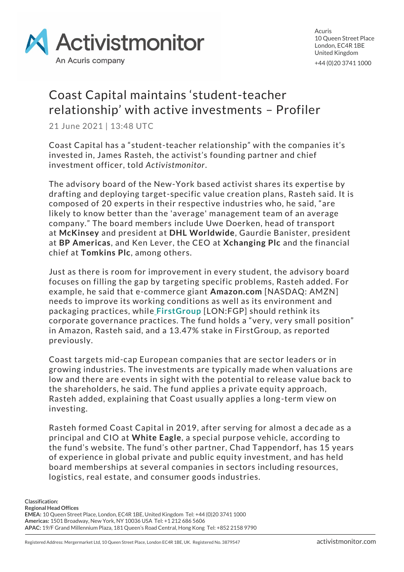

Acuris 10 Queen Street Place London, EC4R 1BE United Kingdom +44 (0)20 3741 1000

## Coast Capital maintains 'student-teacher relationship' with active investments – Profiler

21 June 2021 | 13:48 UTC

Coast Capital has a "student-teacher relationship" with the companies it's invested in, James Rasteh, the activist's founding partner and chief investment officer, told *Activistmonitor*.

The advisory board of the New-York based activist shares its expertise by drafting and deploying target-specific value creation plans, Rasteh said. It is composed of 20 experts in their respective industries who, he said, "are likely to know better than the 'average' management team of an average company." The board members include Uwe Doerken, head of transport at **McKinsey** and president at **DHL Worldwide**, Gaurdie Banister, president at **BP Americas**, and Ken Lever, the CEO at **Xchanging Plc** and the financial chief at **Tomkins Plc**, among others.

Just as there is room for improvement in every student, the advisory board focuses on filling the gap by targeting specific problems, Rasteh added. For example, he said that e-commerce giant **Amazon.com** [NASDAQ: AMZN] needs to improve its working conditions as well as its environment and packaging practices, while **[FirstGroup](https://www.activistmonitor.com/am/campaigns/5c08f76f44d5d0001f48c0cc)** [LON:FGP] should rethink its corporate governance practices. The fund holds a "very, very small position" in Amazon, Rasteh said, and a 13.47% stake in FirstGroup, as reported previously.

Coast targets mid-cap European companies that are sector leaders or in growing industries. The investments are typically made when valuations are low and there are events in sight with the potential to release value back to the shareholders, he said. The fund applies a private equity approach, Rasteh added, explaining that Coast usually applies a long-term view on investing.

Rasteh formed Coast Capital in 2019, after serving for almost a dec ade as a principal and CIO at **White Eagle**, a special purpose vehicle, according to the fund's website. The fund's other partner, Chad Tappendorf, has 15 years of experience in global private and public equity investment, and has held board memberships at several companies in sectors including resources, logistics, real estate, and consumer goods industries.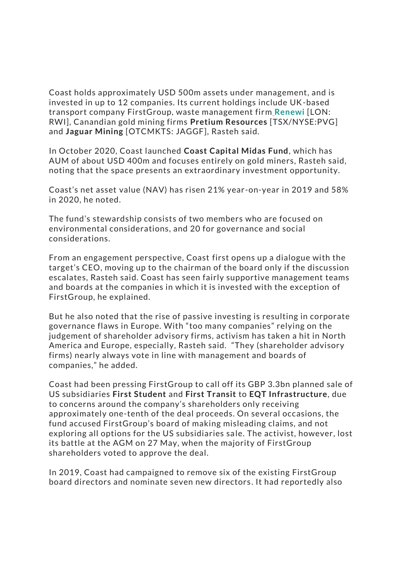Coast holds approximately USD 500m assets under management, and is invested in up to 12 companies. Its current holdings include UK-based transport company FirstGroup, waste management firm **[Renewi](https://www.activistmonitor.com/am/campaigns?companyIds%5B%5D=56fd2ee9d26a3116004ee557)** [LON: RWI], Canandian gold mining firms **Pretium Resources** [TSX/NYSE:PVG] and **Jaguar Mining** [OTCMKTS: JAGGF], Rasteh said.

In October 2020, Coast launched **Coast Capital Midas Fund**, which has AUM of about USD 400m and focuses entirely on gold miners, Rasteh said, noting that the space presents an extraordinary investment opportunity.

Coast's net asset value (NAV) has risen 21% year-on-year in 2019 and 58% in 2020, he noted.

The fund's stewardship consists of two members who are focused on environmental considerations, and 20 for governance and social considerations.

From an engagement perspective, Coast first opens up a dialogue with the target's CEO, moving up to the chairman of the board only if the discussion escalates, Rasteh said. Coast has seen fairly supportive management teams and boards at the companies in which it is invested with the exception of FirstGroup, he explained.

But he also noted that the rise of passive investing is resulting in corporate governance flaws in Europe. With "too many companies" relying on the judgement of shareholder advisory firms, activism has taken a hit in North America and Europe, especially, Rasteh said. "They (shareholder advisory firms) nearly always vote in line with management and boards of companies," he added.

Coast had been pressing FirstGroup to call off its GBP 3.3bn planned sale of US subsidiaries **First Student** and **First Transit** to **EQT Infrastructure**, due to concerns around the company's shareholders only receiving approximately one-tenth of the deal proceeds. On several occasions, the fund accused FirstGroup's board of making misleading claims, and not exploring all options for the US subsidiaries sale. The activist, however, lost its battle at the AGM on 27 May, when the majority of FirstGroup shareholders voted to approve the deal.

In 2019, Coast had campaigned to remove six of the existing FirstGroup board directors and nominate seven new directors . It had reportedly also